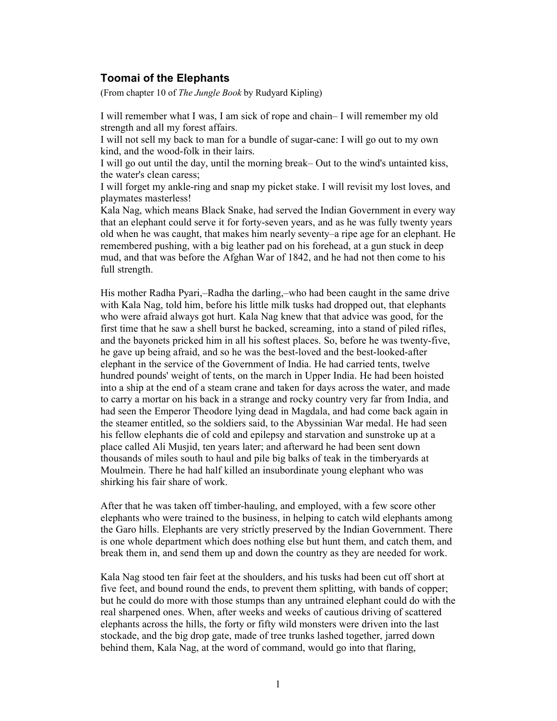## Toomai of the Elephants

(From chapter 10 of The Jungle Book by Rudyard Kipling)

I will remember what I was, I am sick of rope and chain– I will remember my old strength and all my forest affairs.

I will not sell my back to man for a bundle of sugar-cane: I will go out to my own kind, and the wood-folk in their lairs.

I will go out until the day, until the morning break– Out to the wind's untainted kiss, the water's clean caress;

I will forget my ankle-ring and snap my picket stake. I will revisit my lost loves, and playmates masterless!

Kala Nag, which means Black Snake, had served the Indian Government in every way that an elephant could serve it for forty-seven years, and as he was fully twenty years old when he was caught, that makes him nearly seventy–a ripe age for an elephant. He remembered pushing, with a big leather pad on his forehead, at a gun stuck in deep mud, and that was before the Afghan War of 1842, and he had not then come to his full strength.

His mother Radha Pyari,–Radha the darling,–who had been caught in the same drive with Kala Nag, told him, before his little milk tusks had dropped out, that elephants who were afraid always got hurt. Kala Nag knew that that advice was good, for the first time that he saw a shell burst he backed, screaming, into a stand of piled rifles, and the bayonets pricked him in all his softest places. So, before he was twenty-five, he gave up being afraid, and so he was the best-loved and the best-looked-after elephant in the service of the Government of India. He had carried tents, twelve hundred pounds' weight of tents, on the march in Upper India. He had been hoisted into a ship at the end of a steam crane and taken for days across the water, and made to carry a mortar on his back in a strange and rocky country very far from India, and had seen the Emperor Theodore lying dead in Magdala, and had come back again in the steamer entitled, so the soldiers said, to the Abyssinian War medal. He had seen his fellow elephants die of cold and epilepsy and starvation and sunstroke up at a place called Ali Musjid, ten years later; and afterward he had been sent down thousands of miles south to haul and pile big balks of teak in the timberyards at Moulmein. There he had half killed an insubordinate young elephant who was shirking his fair share of work.

After that he was taken off timber-hauling, and employed, with a few score other elephants who were trained to the business, in helping to catch wild elephants among the Garo hills. Elephants are very strictly preserved by the Indian Government. There is one whole department which does nothing else but hunt them, and catch them, and break them in, and send them up and down the country as they are needed for work.

Kala Nag stood ten fair feet at the shoulders, and his tusks had been cut off short at five feet, and bound round the ends, to prevent them splitting, with bands of copper; but he could do more with those stumps than any untrained elephant could do with the real sharpened ones. When, after weeks and weeks of cautious driving of scattered elephants across the hills, the forty or fifty wild monsters were driven into the last stockade, and the big drop gate, made of tree trunks lashed together, jarred down behind them, Kala Nag, at the word of command, would go into that flaring,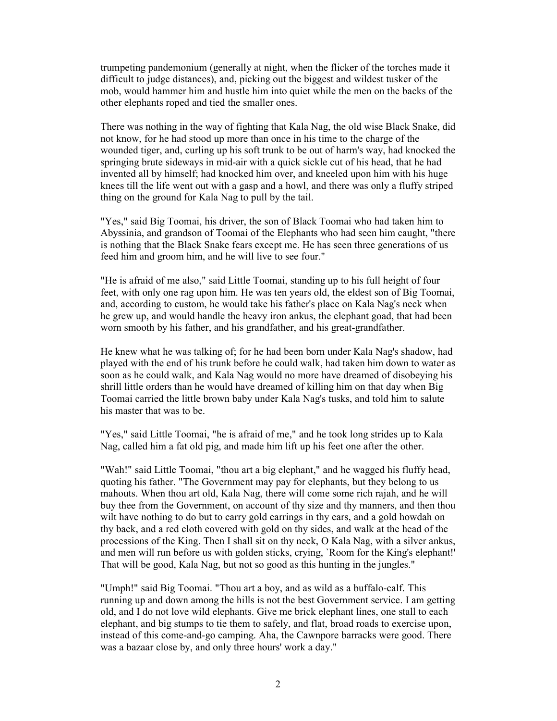trumpeting pandemonium (generally at night, when the flicker of the torches made it difficult to judge distances), and, picking out the biggest and wildest tusker of the mob, would hammer him and hustle him into quiet while the men on the backs of the other elephants roped and tied the smaller ones.

There was nothing in the way of fighting that Kala Nag, the old wise Black Snake, did not know, for he had stood up more than once in his time to the charge of the wounded tiger, and, curling up his soft trunk to be out of harm's way, had knocked the springing brute sideways in mid-air with a quick sickle cut of his head, that he had invented all by himself; had knocked him over, and kneeled upon him with his huge knees till the life went out with a gasp and a howl, and there was only a fluffy striped thing on the ground for Kala Nag to pull by the tail.

"Yes," said Big Toomai, his driver, the son of Black Toomai who had taken him to Abyssinia, and grandson of Toomai of the Elephants who had seen him caught, "there is nothing that the Black Snake fears except me. He has seen three generations of us feed him and groom him, and he will live to see four."

"He is afraid of me also," said Little Toomai, standing up to his full height of four feet, with only one rag upon him. He was ten years old, the eldest son of Big Toomai, and, according to custom, he would take his father's place on Kala Nag's neck when he grew up, and would handle the heavy iron ankus, the elephant goad, that had been worn smooth by his father, and his grandfather, and his great-grandfather.

He knew what he was talking of; for he had been born under Kala Nag's shadow, had played with the end of his trunk before he could walk, had taken him down to water as soon as he could walk, and Kala Nag would no more have dreamed of disobeying his shrill little orders than he would have dreamed of killing him on that day when Big Toomai carried the little brown baby under Kala Nag's tusks, and told him to salute his master that was to be.

"Yes," said Little Toomai, "he is afraid of me," and he took long strides up to Kala Nag, called him a fat old pig, and made him lift up his feet one after the other.

"Wah!" said Little Toomai, "thou art a big elephant," and he wagged his fluffy head, quoting his father. "The Government may pay for elephants, but they belong to us mahouts. When thou art old, Kala Nag, there will come some rich rajah, and he will buy thee from the Government, on account of thy size and thy manners, and then thou wilt have nothing to do but to carry gold earrings in thy ears, and a gold howdah on thy back, and a red cloth covered with gold on thy sides, and walk at the head of the processions of the King. Then I shall sit on thy neck, O Kala Nag, with a silver ankus, and men will run before us with golden sticks, crying, `Room for the King's elephant!' That will be good, Kala Nag, but not so good as this hunting in the jungles."

"Umph!" said Big Toomai. "Thou art a boy, and as wild as a buffalo-calf. This running up and down among the hills is not the best Government service. I am getting old, and I do not love wild elephants. Give me brick elephant lines, one stall to each elephant, and big stumps to tie them to safely, and flat, broad roads to exercise upon, instead of this come-and-go camping. Aha, the Cawnpore barracks were good. There was a bazaar close by, and only three hours' work a day."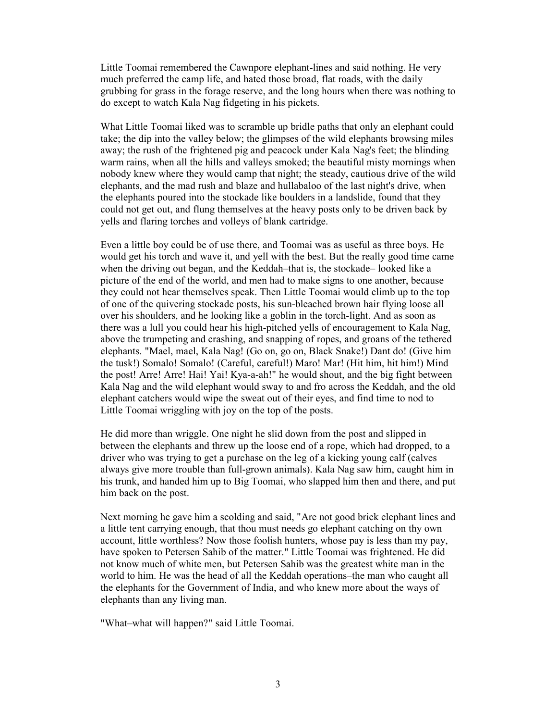Little Toomai remembered the Cawnpore elephant-lines and said nothing. He very much preferred the camp life, and hated those broad, flat roads, with the daily grubbing for grass in the forage reserve, and the long hours when there was nothing to do except to watch Kala Nag fidgeting in his pickets.

What Little Toomai liked was to scramble up bridle paths that only an elephant could take; the dip into the valley below; the glimpses of the wild elephants browsing miles away; the rush of the frightened pig and peacock under Kala Nag's feet; the blinding warm rains, when all the hills and valleys smoked; the beautiful misty mornings when nobody knew where they would camp that night; the steady, cautious drive of the wild elephants, and the mad rush and blaze and hullabaloo of the last night's drive, when the elephants poured into the stockade like boulders in a landslide, found that they could not get out, and flung themselves at the heavy posts only to be driven back by yells and flaring torches and volleys of blank cartridge.

Even a little boy could be of use there, and Toomai was as useful as three boys. He would get his torch and wave it, and yell with the best. But the really good time came when the driving out began, and the Keddah–that is, the stockade– looked like a picture of the end of the world, and men had to make signs to one another, because they could not hear themselves speak. Then Little Toomai would climb up to the top of one of the quivering stockade posts, his sun-bleached brown hair flying loose all over his shoulders, and he looking like a goblin in the torch-light. And as soon as there was a lull you could hear his high-pitched yells of encouragement to Kala Nag, above the trumpeting and crashing, and snapping of ropes, and groans of the tethered elephants. "Mael, mael, Kala Nag! (Go on, go on, Black Snake!) Dant do! (Give him the tusk!) Somalo! Somalo! (Careful, careful!) Maro! Mar! (Hit him, hit him!) Mind the post! Arre! Arre! Hai! Yai! Kya-a-ah!" he would shout, and the big fight between Kala Nag and the wild elephant would sway to and fro across the Keddah, and the old elephant catchers would wipe the sweat out of their eyes, and find time to nod to Little Toomai wriggling with joy on the top of the posts.

He did more than wriggle. One night he slid down from the post and slipped in between the elephants and threw up the loose end of a rope, which had dropped, to a driver who was trying to get a purchase on the leg of a kicking young calf (calves always give more trouble than full-grown animals). Kala Nag saw him, caught him in his trunk, and handed him up to Big Toomai, who slapped him then and there, and put him back on the post.

Next morning he gave him a scolding and said, "Are not good brick elephant lines and a little tent carrying enough, that thou must needs go elephant catching on thy own account, little worthless? Now those foolish hunters, whose pay is less than my pay, have spoken to Petersen Sahib of the matter." Little Toomai was frightened. He did not know much of white men, but Petersen Sahib was the greatest white man in the world to him. He was the head of all the Keddah operations–the man who caught all the elephants for the Government of India, and who knew more about the ways of elephants than any living man.

"What–what will happen?" said Little Toomai.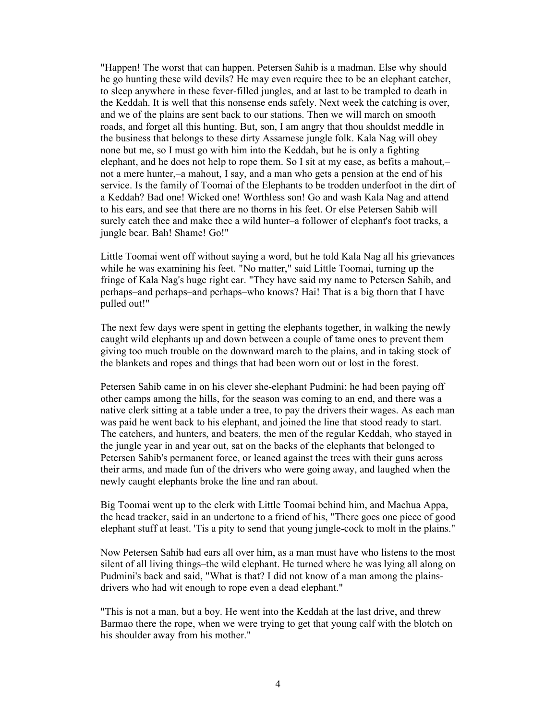"Happen! The worst that can happen. Petersen Sahib is a madman. Else why should he go hunting these wild devils? He may even require thee to be an elephant catcher, to sleep anywhere in these fever-filled jungles, and at last to be trampled to death in the Keddah. It is well that this nonsense ends safely. Next week the catching is over, and we of the plains are sent back to our stations. Then we will march on smooth roads, and forget all this hunting. But, son, I am angry that thou shouldst meddle in the business that belongs to these dirty Assamese jungle folk. Kala Nag will obey none but me, so I must go with him into the Keddah, but he is only a fighting elephant, and he does not help to rope them. So I sit at my ease, as befits a mahout,– not a mere hunter,–a mahout, I say, and a man who gets a pension at the end of his service. Is the family of Toomai of the Elephants to be trodden underfoot in the dirt of a Keddah? Bad one! Wicked one! Worthless son! Go and wash Kala Nag and attend to his ears, and see that there are no thorns in his feet. Or else Petersen Sahib will surely catch thee and make thee a wild hunter–a follower of elephant's foot tracks, a jungle bear. Bah! Shame! Go!"

Little Toomai went off without saying a word, but he told Kala Nag all his grievances while he was examining his feet. "No matter," said Little Toomai, turning up the fringe of Kala Nag's huge right ear. "They have said my name to Petersen Sahib, and perhaps–and perhaps–and perhaps–who knows? Hai! That is a big thorn that I have pulled out!"

The next few days were spent in getting the elephants together, in walking the newly caught wild elephants up and down between a couple of tame ones to prevent them giving too much trouble on the downward march to the plains, and in taking stock of the blankets and ropes and things that had been worn out or lost in the forest.

Petersen Sahib came in on his clever she-elephant Pudmini; he had been paying off other camps among the hills, for the season was coming to an end, and there was a native clerk sitting at a table under a tree, to pay the drivers their wages. As each man was paid he went back to his elephant, and joined the line that stood ready to start. The catchers, and hunters, and beaters, the men of the regular Keddah, who stayed in the jungle year in and year out, sat on the backs of the elephants that belonged to Petersen Sahib's permanent force, or leaned against the trees with their guns across their arms, and made fun of the drivers who were going away, and laughed when the newly caught elephants broke the line and ran about.

Big Toomai went up to the clerk with Little Toomai behind him, and Machua Appa, the head tracker, said in an undertone to a friend of his, "There goes one piece of good elephant stuff at least. 'Tis a pity to send that young jungle-cock to molt in the plains."

Now Petersen Sahib had ears all over him, as a man must have who listens to the most silent of all living things–the wild elephant. He turned where he was lying all along on Pudmini's back and said, "What is that? I did not know of a man among the plainsdrivers who had wit enough to rope even a dead elephant."

"This is not a man, but a boy. He went into the Keddah at the last drive, and threw Barmao there the rope, when we were trying to get that young calf with the blotch on his shoulder away from his mother."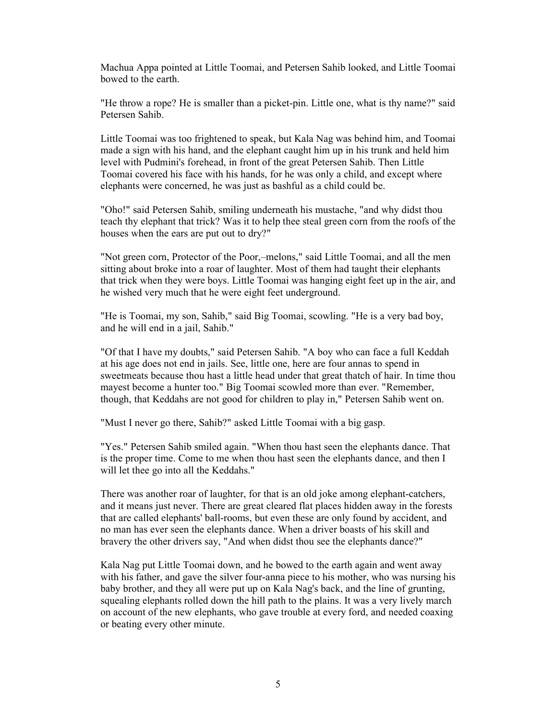Machua Appa pointed at Little Toomai, and Petersen Sahib looked, and Little Toomai bowed to the earth.

"He throw a rope? He is smaller than a picket-pin. Little one, what is thy name?" said Petersen Sahib.

Little Toomai was too frightened to speak, but Kala Nag was behind him, and Toomai made a sign with his hand, and the elephant caught him up in his trunk and held him level with Pudmini's forehead, in front of the great Petersen Sahib. Then Little Toomai covered his face with his hands, for he was only a child, and except where elephants were concerned, he was just as bashful as a child could be.

"Oho!" said Petersen Sahib, smiling underneath his mustache, "and why didst thou teach thy elephant that trick? Was it to help thee steal green corn from the roofs of the houses when the ears are put out to dry?"

"Not green corn, Protector of the Poor,–melons," said Little Toomai, and all the men sitting about broke into a roar of laughter. Most of them had taught their elephants that trick when they were boys. Little Toomai was hanging eight feet up in the air, and he wished very much that he were eight feet underground.

"He is Toomai, my son, Sahib," said Big Toomai, scowling. "He is a very bad boy, and he will end in a jail, Sahib."

"Of that I have my doubts," said Petersen Sahib. "A boy who can face a full Keddah at his age does not end in jails. See, little one, here are four annas to spend in sweetmeats because thou hast a little head under that great thatch of hair. In time thou mayest become a hunter too." Big Toomai scowled more than ever. "Remember, though, that Keddahs are not good for children to play in," Petersen Sahib went on.

"Must I never go there, Sahib?" asked Little Toomai with a big gasp.

"Yes." Petersen Sahib smiled again. "When thou hast seen the elephants dance. That is the proper time. Come to me when thou hast seen the elephants dance, and then I will let thee go into all the Keddahs."

There was another roar of laughter, for that is an old joke among elephant-catchers, and it means just never. There are great cleared flat places hidden away in the forests that are called elephants' ball-rooms, but even these are only found by accident, and no man has ever seen the elephants dance. When a driver boasts of his skill and bravery the other drivers say, "And when didst thou see the elephants dance?"

Kala Nag put Little Toomai down, and he bowed to the earth again and went away with his father, and gave the silver four-anna piece to his mother, who was nursing his baby brother, and they all were put up on Kala Nag's back, and the line of grunting, squealing elephants rolled down the hill path to the plains. It was a very lively march on account of the new elephants, who gave trouble at every ford, and needed coaxing or beating every other minute.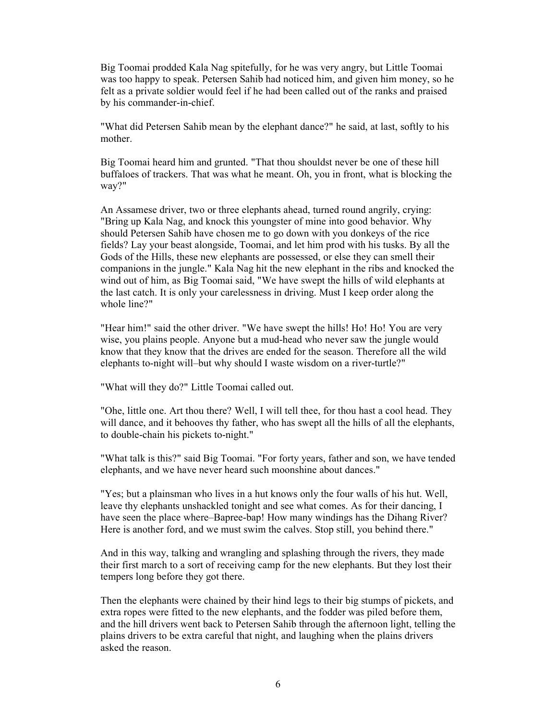Big Toomai prodded Kala Nag spitefully, for he was very angry, but Little Toomai was too happy to speak. Petersen Sahib had noticed him, and given him money, so he felt as a private soldier would feel if he had been called out of the ranks and praised by his commander-in-chief.

"What did Petersen Sahib mean by the elephant dance?" he said, at last, softly to his mother.

Big Toomai heard him and grunted. "That thou shouldst never be one of these hill buffaloes of trackers. That was what he meant. Oh, you in front, what is blocking the way?"

An Assamese driver, two or three elephants ahead, turned round angrily, crying: "Bring up Kala Nag, and knock this youngster of mine into good behavior. Why should Petersen Sahib have chosen me to go down with you donkeys of the rice fields? Lay your beast alongside, Toomai, and let him prod with his tusks. By all the Gods of the Hills, these new elephants are possessed, or else they can smell their companions in the jungle." Kala Nag hit the new elephant in the ribs and knocked the wind out of him, as Big Toomai said, "We have swept the hills of wild elephants at the last catch. It is only your carelessness in driving. Must I keep order along the whole line?"

"Hear him!" said the other driver. "We have swept the hills! Ho! Ho! You are very wise, you plains people. Anyone but a mud-head who never saw the jungle would know that they know that the drives are ended for the season. Therefore all the wild elephants to-night will–but why should I waste wisdom on a river-turtle?"

"What will they do?" Little Toomai called out.

"Ohe, little one. Art thou there? Well, I will tell thee, for thou hast a cool head. They will dance, and it behooves thy father, who has swept all the hills of all the elephants, to double-chain his pickets to-night."

"What talk is this?" said Big Toomai. "For forty years, father and son, we have tended elephants, and we have never heard such moonshine about dances."

"Yes; but a plainsman who lives in a hut knows only the four walls of his hut. Well, leave thy elephants unshackled tonight and see what comes. As for their dancing, I have seen the place where–Bapree-bap! How many windings has the Dihang River? Here is another ford, and we must swim the calves. Stop still, you behind there."

And in this way, talking and wrangling and splashing through the rivers, they made their first march to a sort of receiving camp for the new elephants. But they lost their tempers long before they got there.

Then the elephants were chained by their hind legs to their big stumps of pickets, and extra ropes were fitted to the new elephants, and the fodder was piled before them, and the hill drivers went back to Petersen Sahib through the afternoon light, telling the plains drivers to be extra careful that night, and laughing when the plains drivers asked the reason.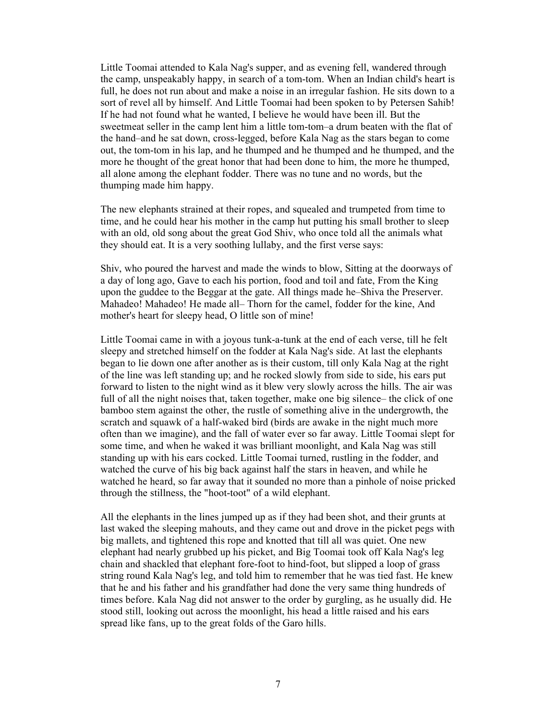Little Toomai attended to Kala Nag's supper, and as evening fell, wandered through the camp, unspeakably happy, in search of a tom-tom. When an Indian child's heart is full, he does not run about and make a noise in an irregular fashion. He sits down to a sort of revel all by himself. And Little Toomai had been spoken to by Petersen Sahib! If he had not found what he wanted, I believe he would have been ill. But the sweetmeat seller in the camp lent him a little tom-tom–a drum beaten with the flat of the hand–and he sat down, cross-legged, before Kala Nag as the stars began to come out, the tom-tom in his lap, and he thumped and he thumped and he thumped, and the more he thought of the great honor that had been done to him, the more he thumped, all alone among the elephant fodder. There was no tune and no words, but the thumping made him happy.

The new elephants strained at their ropes, and squealed and trumpeted from time to time, and he could hear his mother in the camp hut putting his small brother to sleep with an old, old song about the great God Shiv, who once told all the animals what they should eat. It is a very soothing lullaby, and the first verse says:

Shiv, who poured the harvest and made the winds to blow, Sitting at the doorways of a day of long ago, Gave to each his portion, food and toil and fate, From the King upon the guddee to the Beggar at the gate. All things made he–Shiva the Preserver. Mahadeo! Mahadeo! He made all– Thorn for the camel, fodder for the kine, And mother's heart for sleepy head, O little son of mine!

Little Toomai came in with a joyous tunk-a-tunk at the end of each verse, till he felt sleepy and stretched himself on the fodder at Kala Nag's side. At last the elephants began to lie down one after another as is their custom, till only Kala Nag at the right of the line was left standing up; and he rocked slowly from side to side, his ears put forward to listen to the night wind as it blew very slowly across the hills. The air was full of all the night noises that, taken together, make one big silence– the click of one bamboo stem against the other, the rustle of something alive in the undergrowth, the scratch and squawk of a half-waked bird (birds are awake in the night much more often than we imagine), and the fall of water ever so far away. Little Toomai slept for some time, and when he waked it was brilliant moonlight, and Kala Nag was still standing up with his ears cocked. Little Toomai turned, rustling in the fodder, and watched the curve of his big back against half the stars in heaven, and while he watched he heard, so far away that it sounded no more than a pinhole of noise pricked through the stillness, the "hoot-toot" of a wild elephant.

All the elephants in the lines jumped up as if they had been shot, and their grunts at last waked the sleeping mahouts, and they came out and drove in the picket pegs with big mallets, and tightened this rope and knotted that till all was quiet. One new elephant had nearly grubbed up his picket, and Big Toomai took off Kala Nag's leg chain and shackled that elephant fore-foot to hind-foot, but slipped a loop of grass string round Kala Nag's leg, and told him to remember that he was tied fast. He knew that he and his father and his grandfather had done the very same thing hundreds of times before. Kala Nag did not answer to the order by gurgling, as he usually did. He stood still, looking out across the moonlight, his head a little raised and his ears spread like fans, up to the great folds of the Garo hills.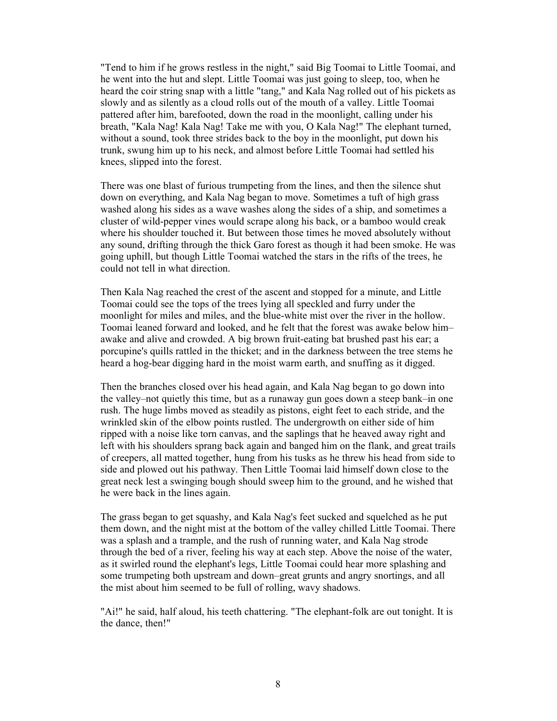"Tend to him if he grows restless in the night," said Big Toomai to Little Toomai, and he went into the hut and slept. Little Toomai was just going to sleep, too, when he heard the coir string snap with a little "tang," and Kala Nag rolled out of his pickets as slowly and as silently as a cloud rolls out of the mouth of a valley. Little Toomai pattered after him, barefooted, down the road in the moonlight, calling under his breath, "Kala Nag! Kala Nag! Take me with you, O Kala Nag!" The elephant turned, without a sound, took three strides back to the boy in the moonlight, put down his trunk, swung him up to his neck, and almost before Little Toomai had settled his knees, slipped into the forest.

There was one blast of furious trumpeting from the lines, and then the silence shut down on everything, and Kala Nag began to move. Sometimes a tuft of high grass washed along his sides as a wave washes along the sides of a ship, and sometimes a cluster of wild-pepper vines would scrape along his back, or a bamboo would creak where his shoulder touched it. But between those times he moved absolutely without any sound, drifting through the thick Garo forest as though it had been smoke. He was going uphill, but though Little Toomai watched the stars in the rifts of the trees, he could not tell in what direction.

Then Kala Nag reached the crest of the ascent and stopped for a minute, and Little Toomai could see the tops of the trees lying all speckled and furry under the moonlight for miles and miles, and the blue-white mist over the river in the hollow. Toomai leaned forward and looked, and he felt that the forest was awake below him– awake and alive and crowded. A big brown fruit-eating bat brushed past his ear; a porcupine's quills rattled in the thicket; and in the darkness between the tree stems he heard a hog-bear digging hard in the moist warm earth, and snuffing as it digged.

Then the branches closed over his head again, and Kala Nag began to go down into the valley–not quietly this time, but as a runaway gun goes down a steep bank–in one rush. The huge limbs moved as steadily as pistons, eight feet to each stride, and the wrinkled skin of the elbow points rustled. The undergrowth on either side of him ripped with a noise like torn canvas, and the saplings that he heaved away right and left with his shoulders sprang back again and banged him on the flank, and great trails of creepers, all matted together, hung from his tusks as he threw his head from side to side and plowed out his pathway. Then Little Toomai laid himself down close to the great neck lest a swinging bough should sweep him to the ground, and he wished that he were back in the lines again.

The grass began to get squashy, and Kala Nag's feet sucked and squelched as he put them down, and the night mist at the bottom of the valley chilled Little Toomai. There was a splash and a trample, and the rush of running water, and Kala Nag strode through the bed of a river, feeling his way at each step. Above the noise of the water, as it swirled round the elephant's legs, Little Toomai could hear more splashing and some trumpeting both upstream and down–great grunts and angry snortings, and all the mist about him seemed to be full of rolling, wavy shadows.

"Ai!" he said, half aloud, his teeth chattering. "The elephant-folk are out tonight. It is the dance, then!"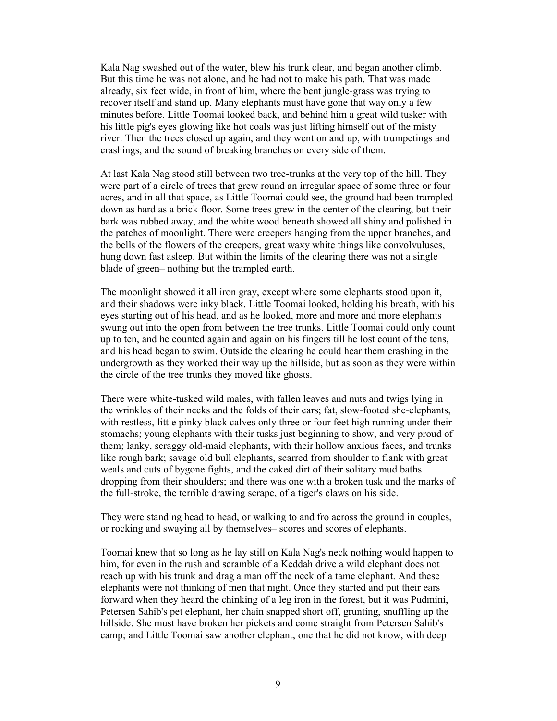Kala Nag swashed out of the water, blew his trunk clear, and began another climb. But this time he was not alone, and he had not to make his path. That was made already, six feet wide, in front of him, where the bent jungle-grass was trying to recover itself and stand up. Many elephants must have gone that way only a few minutes before. Little Toomai looked back, and behind him a great wild tusker with his little pig's eyes glowing like hot coals was just lifting himself out of the misty river. Then the trees closed up again, and they went on and up, with trumpetings and crashings, and the sound of breaking branches on every side of them.

At last Kala Nag stood still between two tree-trunks at the very top of the hill. They were part of a circle of trees that grew round an irregular space of some three or four acres, and in all that space, as Little Toomai could see, the ground had been trampled down as hard as a brick floor. Some trees grew in the center of the clearing, but their bark was rubbed away, and the white wood beneath showed all shiny and polished in the patches of moonlight. There were creepers hanging from the upper branches, and the bells of the flowers of the creepers, great waxy white things like convolvuluses, hung down fast asleep. But within the limits of the clearing there was not a single blade of green– nothing but the trampled earth.

The moonlight showed it all iron gray, except where some elephants stood upon it, and their shadows were inky black. Little Toomai looked, holding his breath, with his eyes starting out of his head, and as he looked, more and more and more elephants swung out into the open from between the tree trunks. Little Toomai could only count up to ten, and he counted again and again on his fingers till he lost count of the tens, and his head began to swim. Outside the clearing he could hear them crashing in the undergrowth as they worked their way up the hillside, but as soon as they were within the circle of the tree trunks they moved like ghosts.

There were white-tusked wild males, with fallen leaves and nuts and twigs lying in the wrinkles of their necks and the folds of their ears; fat, slow-footed she-elephants, with restless, little pinky black calves only three or four feet high running under their stomachs; young elephants with their tusks just beginning to show, and very proud of them; lanky, scraggy old-maid elephants, with their hollow anxious faces, and trunks like rough bark; savage old bull elephants, scarred from shoulder to flank with great weals and cuts of bygone fights, and the caked dirt of their solitary mud baths dropping from their shoulders; and there was one with a broken tusk and the marks of the full-stroke, the terrible drawing scrape, of a tiger's claws on his side.

They were standing head to head, or walking to and fro across the ground in couples, or rocking and swaying all by themselves– scores and scores of elephants.

Toomai knew that so long as he lay still on Kala Nag's neck nothing would happen to him, for even in the rush and scramble of a Keddah drive a wild elephant does not reach up with his trunk and drag a man off the neck of a tame elephant. And these elephants were not thinking of men that night. Once they started and put their ears forward when they heard the chinking of a leg iron in the forest, but it was Pudmini, Petersen Sahib's pet elephant, her chain snapped short off, grunting, snuffling up the hillside. She must have broken her pickets and come straight from Petersen Sahib's camp; and Little Toomai saw another elephant, one that he did not know, with deep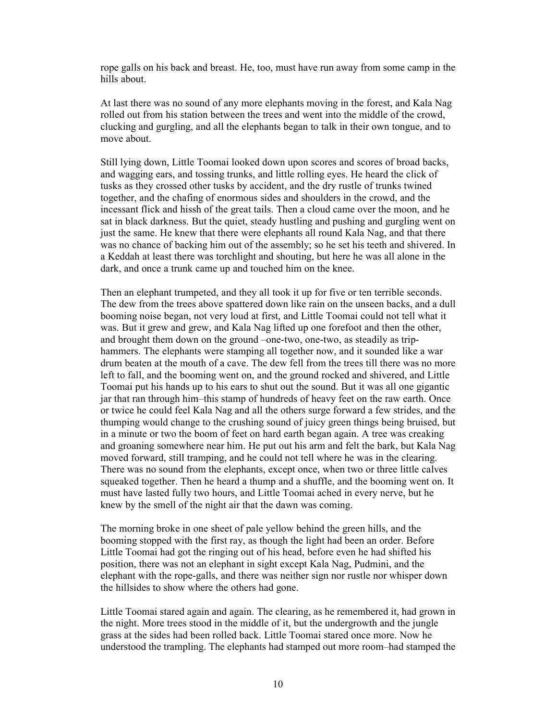rope galls on his back and breast. He, too, must have run away from some camp in the hills about.

At last there was no sound of any more elephants moving in the forest, and Kala Nag rolled out from his station between the trees and went into the middle of the crowd, clucking and gurgling, and all the elephants began to talk in their own tongue, and to move about.

Still lying down, Little Toomai looked down upon scores and scores of broad backs, and wagging ears, and tossing trunks, and little rolling eyes. He heard the click of tusks as they crossed other tusks by accident, and the dry rustle of trunks twined together, and the chafing of enormous sides and shoulders in the crowd, and the incessant flick and hissh of the great tails. Then a cloud came over the moon, and he sat in black darkness. But the quiet, steady hustling and pushing and gurgling went on just the same. He knew that there were elephants all round Kala Nag, and that there was no chance of backing him out of the assembly; so he set his teeth and shivered. In a Keddah at least there was torchlight and shouting, but here he was all alone in the dark, and once a trunk came up and touched him on the knee.

Then an elephant trumpeted, and they all took it up for five or ten terrible seconds. The dew from the trees above spattered down like rain on the unseen backs, and a dull booming noise began, not very loud at first, and Little Toomai could not tell what it was. But it grew and grew, and Kala Nag lifted up one forefoot and then the other, and brought them down on the ground –one-two, one-two, as steadily as triphammers. The elephants were stamping all together now, and it sounded like a war drum beaten at the mouth of a cave. The dew fell from the trees till there was no more left to fall, and the booming went on, and the ground rocked and shivered, and Little Toomai put his hands up to his ears to shut out the sound. But it was all one gigantic jar that ran through him–this stamp of hundreds of heavy feet on the raw earth. Once or twice he could feel Kala Nag and all the others surge forward a few strides, and the thumping would change to the crushing sound of juicy green things being bruised, but in a minute or two the boom of feet on hard earth began again. A tree was creaking and groaning somewhere near him. He put out his arm and felt the bark, but Kala Nag moved forward, still tramping, and he could not tell where he was in the clearing. There was no sound from the elephants, except once, when two or three little calves squeaked together. Then he heard a thump and a shuffle, and the booming went on. It must have lasted fully two hours, and Little Toomai ached in every nerve, but he knew by the smell of the night air that the dawn was coming.

The morning broke in one sheet of pale yellow behind the green hills, and the booming stopped with the first ray, as though the light had been an order. Before Little Toomai had got the ringing out of his head, before even he had shifted his position, there was not an elephant in sight except Kala Nag, Pudmini, and the elephant with the rope-galls, and there was neither sign nor rustle nor whisper down the hillsides to show where the others had gone.

Little Toomai stared again and again. The clearing, as he remembered it, had grown in the night. More trees stood in the middle of it, but the undergrowth and the jungle grass at the sides had been rolled back. Little Toomai stared once more. Now he understood the trampling. The elephants had stamped out more room–had stamped the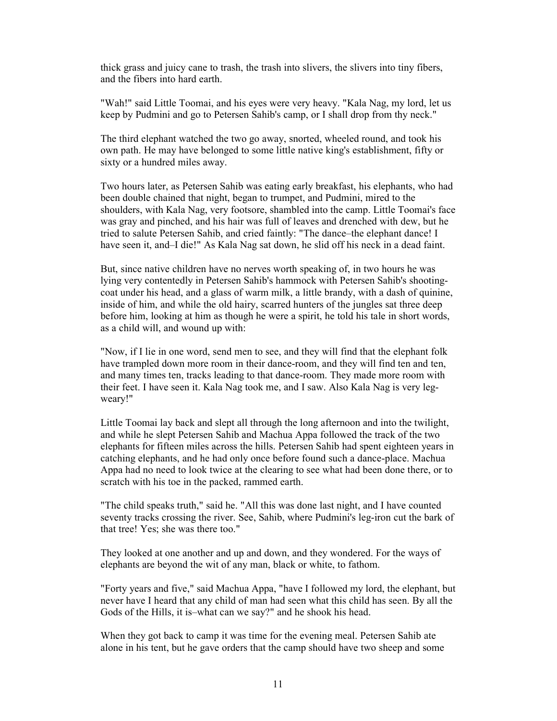thick grass and juicy cane to trash, the trash into slivers, the slivers into tiny fibers, and the fibers into hard earth.

"Wah!" said Little Toomai, and his eyes were very heavy. "Kala Nag, my lord, let us keep by Pudmini and go to Petersen Sahib's camp, or I shall drop from thy neck."

The third elephant watched the two go away, snorted, wheeled round, and took his own path. He may have belonged to some little native king's establishment, fifty or sixty or a hundred miles away.

Two hours later, as Petersen Sahib was eating early breakfast, his elephants, who had been double chained that night, began to trumpet, and Pudmini, mired to the shoulders, with Kala Nag, very footsore, shambled into the camp. Little Toomai's face was gray and pinched, and his hair was full of leaves and drenched with dew, but he tried to salute Petersen Sahib, and cried faintly: "The dance–the elephant dance! I have seen it, and–I die!" As Kala Nag sat down, he slid off his neck in a dead faint.

But, since native children have no nerves worth speaking of, in two hours he was lying very contentedly in Petersen Sahib's hammock with Petersen Sahib's shootingcoat under his head, and a glass of warm milk, a little brandy, with a dash of quinine, inside of him, and while the old hairy, scarred hunters of the jungles sat three deep before him, looking at him as though he were a spirit, he told his tale in short words, as a child will, and wound up with:

"Now, if I lie in one word, send men to see, and they will find that the elephant folk have trampled down more room in their dance-room, and they will find ten and ten, and many times ten, tracks leading to that dance-room. They made more room with their feet. I have seen it. Kala Nag took me, and I saw. Also Kala Nag is very legweary!"

Little Toomai lay back and slept all through the long afternoon and into the twilight, and while he slept Petersen Sahib and Machua Appa followed the track of the two elephants for fifteen miles across the hills. Petersen Sahib had spent eighteen years in catching elephants, and he had only once before found such a dance-place. Machua Appa had no need to look twice at the clearing to see what had been done there, or to scratch with his toe in the packed, rammed earth.

"The child speaks truth," said he. "All this was done last night, and I have counted seventy tracks crossing the river. See, Sahib, where Pudmini's leg-iron cut the bark of that tree! Yes; she was there too."

They looked at one another and up and down, and they wondered. For the ways of elephants are beyond the wit of any man, black or white, to fathom.

"Forty years and five," said Machua Appa, "have I followed my lord, the elephant, but never have I heard that any child of man had seen what this child has seen. By all the Gods of the Hills, it is–what can we say?" and he shook his head.

When they got back to camp it was time for the evening meal. Petersen Sahib ate alone in his tent, but he gave orders that the camp should have two sheep and some